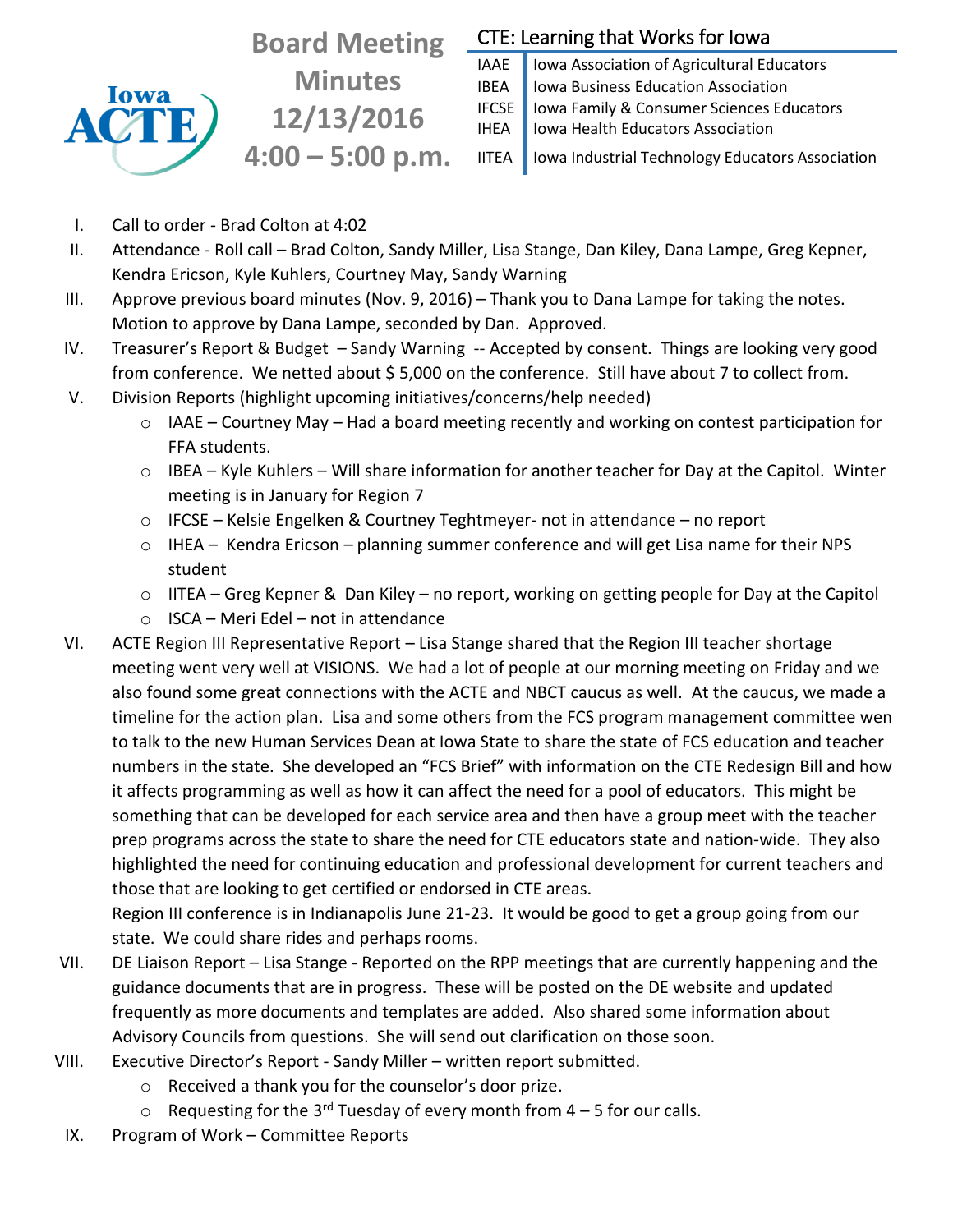# Iowa **ACT**

**Board Meeting Minutes 12/13/2016 4:00 – 5:00 p.m.**

## CTE: Learning that Works for Iowa

IAAE | Iowa Association of Agricultural Educators IBEA | Iowa Business Education Association IFCSE Iowa Family & Consumer Sciences Educators IHEA | Iowa Health Educators Association

IITEA | Iowa Industrial Technology Educators Association

- I. Call to order Brad Colton at 4:02
- II. Attendance Roll call Brad Colton, Sandy Miller, Lisa Stange, Dan Kiley, Dana Lampe, Greg Kepner, Kendra Ericson, Kyle Kuhlers, Courtney May, Sandy Warning
- III. Approve previous board minutes (Nov. 9, 2016) Thank you to Dana Lampe for taking the notes. Motion to approve by Dana Lampe, seconded by Dan. Approved.
- IV. Treasurer's Report & Budget Sandy Warning -- Accepted by consent. Things are looking very good from conference. We netted about \$5,000 on the conference. Still have about 7 to collect from.
- V. Division Reports (highlight upcoming initiatives/concerns/help needed)
	- o IAAE Courtney May Had a board meeting recently and working on contest participation for FFA students.
	- $\circ$  IBEA Kyle Kuhlers Will share information for another teacher for Day at the Capitol. Winter meeting is in January for Region 7
	- o IFCSE Kelsie Engelken & Courtney Teghtmeyer- not in attendance no report
	- o IHEA Kendra Ericson planning summer conference and will get Lisa name for their NPS student
	- $\circ$  IITEA Greg Kepner & Dan Kiley no report, working on getting people for Day at the Capitol
	- $\circ$  ISCA Meri Edel not in attendance
- VI. ACTE Region III Representative Report Lisa Stange shared that the Region III teacher shortage meeting went very well at VISIONS. We had a lot of people at our morning meeting on Friday and we also found some great connections with the ACTE and NBCT caucus as well. At the caucus, we made a timeline for the action plan. Lisa and some others from the FCS program management committee wen to talk to the new Human Services Dean at Iowa State to share the state of FCS education and teacher numbers in the state. She developed an "FCS Brief" with information on the CTE Redesign Bill and how it affects programming as well as how it can affect the need for a pool of educators. This might be something that can be developed for each service area and then have a group meet with the teacher prep programs across the state to share the need for CTE educators state and nation-wide. They also highlighted the need for continuing education and professional development for current teachers and those that are looking to get certified or endorsed in CTE areas.

Region III conference is in Indianapolis June 21-23. It would be good to get a group going from our state. We could share rides and perhaps rooms.

- VII. DE Liaison Report Lisa Stange Reported on the RPP meetings that are currently happening and the guidance documents that are in progress. These will be posted on the DE website and updated frequently as more documents and templates are added. Also shared some information about Advisory Councils from questions. She will send out clarification on those soon.
- VIII. Executive Director's Report Sandy Miller written report submitted.
	- o Received a thank you for the counselor's door prize.
	- $\circ$  Requesting for the 3<sup>rd</sup> Tuesday of every month from 4 5 for our calls.
- IX. Program of Work Committee Reports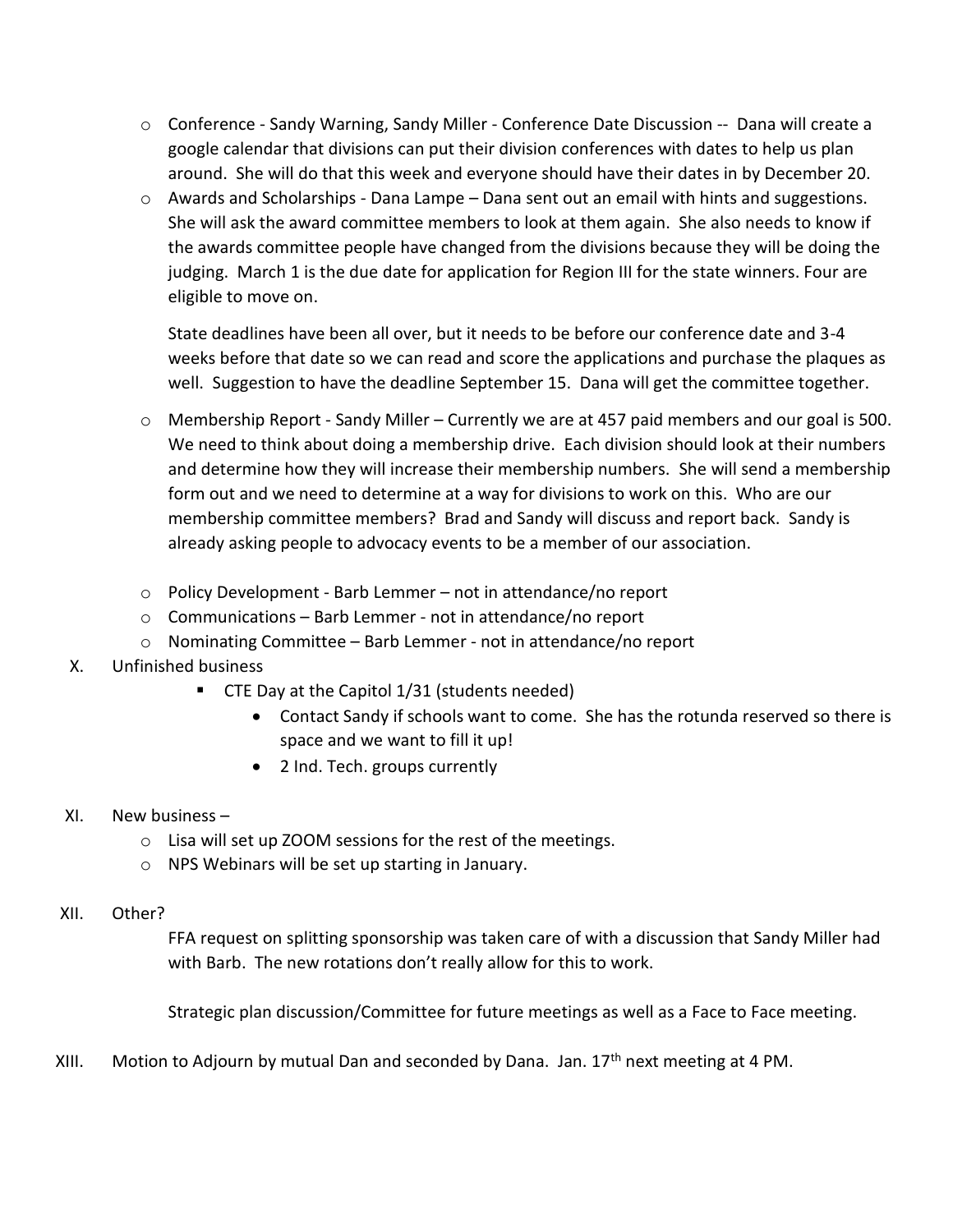- o Conference Sandy Warning, Sandy Miller Conference Date Discussion -- Dana will create a google calendar that divisions can put their division conferences with dates to help us plan around. She will do that this week and everyone should have their dates in by December 20.
- $\circ$  Awards and Scholarships Dana Lampe Dana sent out an email with hints and suggestions. She will ask the award committee members to look at them again. She also needs to know if the awards committee people have changed from the divisions because they will be doing the judging. March 1 is the due date for application for Region III for the state winners. Four are eligible to move on.

State deadlines have been all over, but it needs to be before our conference date and 3-4 weeks before that date so we can read and score the applications and purchase the plaques as well. Suggestion to have the deadline September 15. Dana will get the committee together.

- o Membership Report Sandy Miller Currently we are at 457 paid members and our goal is 500. We need to think about doing a membership drive. Each division should look at their numbers and determine how they will increase their membership numbers. She will send a membership form out and we need to determine at a way for divisions to work on this. Who are our membership committee members? Brad and Sandy will discuss and report back. Sandy is already asking people to advocacy events to be a member of our association.
- o Policy Development Barb Lemmer not in attendance/no report
- o Communications Barb Lemmer not in attendance/no report
- o Nominating Committee Barb Lemmer not in attendance/no report
- X. Unfinished business
	- CTE Day at the Capitol 1/31 (students needed)
		- Contact Sandy if schools want to come. She has the rotunda reserved so there is space and we want to fill it up!
		- 2 Ind. Tech. groups currently
- XI. New business
	- o Lisa will set up ZOOM sessions for the rest of the meetings.
	- o NPS Webinars will be set up starting in January.
- XII. Other?

FFA request on splitting sponsorship was taken care of with a discussion that Sandy Miller had with Barb. The new rotations don't really allow for this to work.

Strategic plan discussion/Committee for future meetings as well as a Face to Face meeting.

XIII. Motion to Adjourn by mutual Dan and seconded by Dana. Jan.  $17<sup>th</sup>$  next meeting at 4 PM.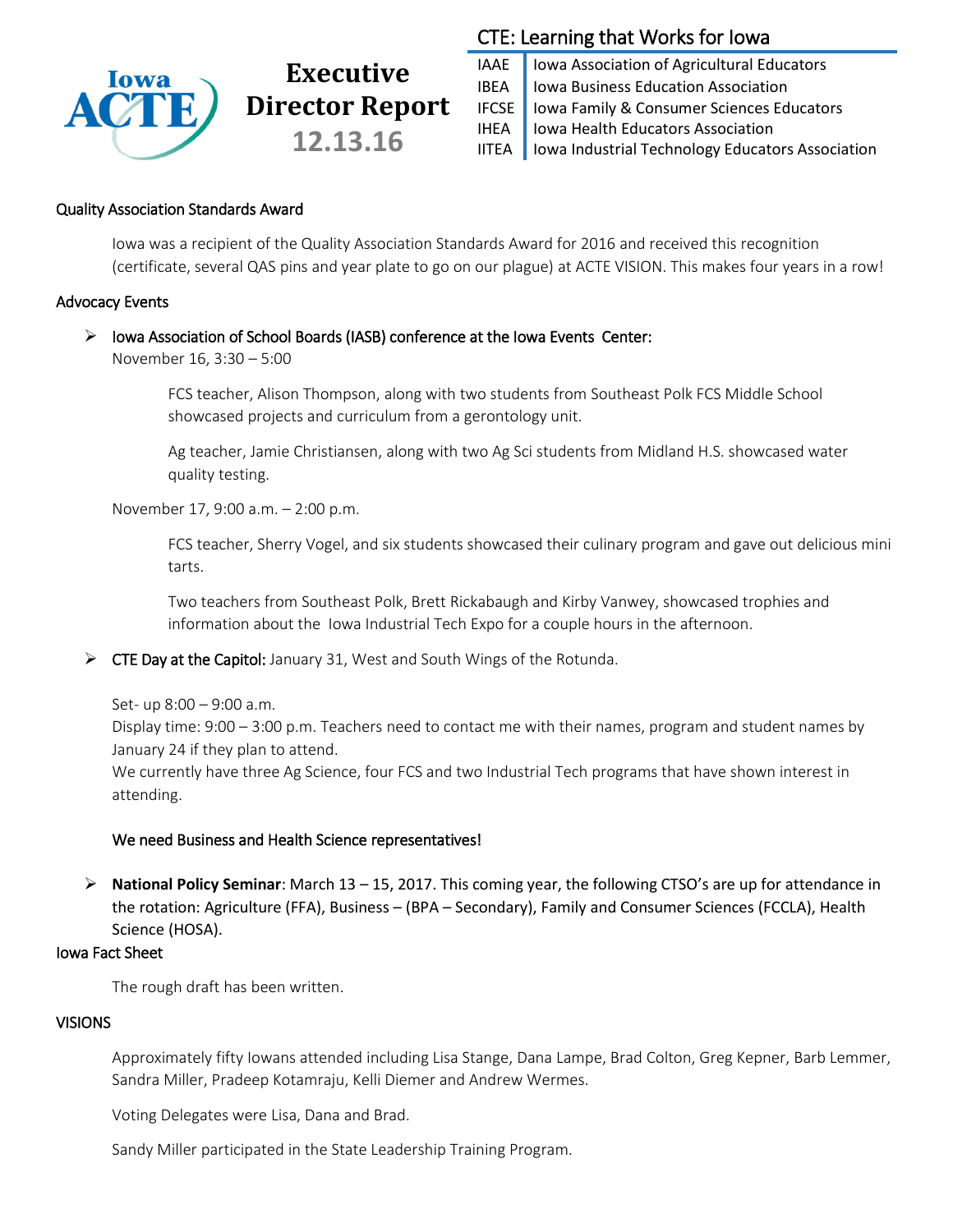

# **Executive Director Report 12.13.16**

### CTE: Learning that Works for Iowa

IAAE | Iowa Association of Agricultural Educators IBEA | Iowa Business Education Association IFCSE Iowa Family & Consumer Sciences Educators IHEA | Iowa Health Educators Association IITEA | Iowa Industrial Technology Educators Association

#### Quality Association Standards Award

Iowa was a recipient of the Quality Association Standards Award for 2016 and received this recognition (certificate, several QAS pins and year plate to go on our plague) at ACTE VISION. This makes four years in a row!

#### Advocacy Events

#### $\triangleright$  Iowa Association of School Boards (IASB) conference at the Iowa Events Center:

November 16, 3:30 – 5:00

FCS teacher, Alison Thompson, along with two students from Southeast Polk FCS Middle School showcased projects and curriculum from a gerontology unit.

Ag teacher, Jamie Christiansen, along with two Ag Sci students from Midland H.S. showcased water quality testing.

November 17, 9:00 a.m. – 2:00 p.m.

FCS teacher, Sherry Vogel, and six students showcased their culinary program and gave out delicious mini tarts.

Two teachers from Southeast Polk, Brett Rickabaugh and Kirby Vanwey, showcased trophies and information about the Iowa Industrial Tech Expo for a couple hours in the afternoon.

 $\triangleright$  CTE Day at the Capitol: January 31, West and South Wings of the Rotunda.

Set- up 8:00 – 9:00 a.m.

Display time: 9:00 – 3:00 p.m. Teachers need to contact me with their names, program and student names by January 24 if they plan to attend.

We currently have three Ag Science, four FCS and two Industrial Tech programs that have shown interest in attending.

#### We need Business and Health Science representatives!

 **National Policy Seminar**: March 13 – 15, 2017. This coming year, the following CTSO's are up for attendance in the rotation: Agriculture (FFA), Business – (BPA – Secondary), Family and Consumer Sciences (FCCLA), Health Science (HOSA).

#### Iowa Fact Sheet

The rough draft has been written.

#### VISIONS

Approximately fifty Iowans attended including Lisa Stange, Dana Lampe, Brad Colton, Greg Kepner, Barb Lemmer, Sandra Miller, Pradeep Kotamraju, Kelli Diemer and Andrew Wermes.

Voting Delegates were Lisa, Dana and Brad.

Sandy Miller participated in the State Leadership Training Program.